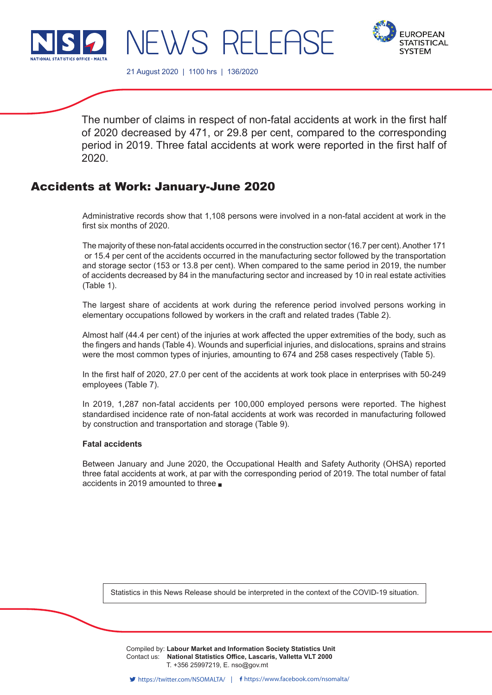



21 August 2020 | 1100 hrs | 136/2020

JEWS RELEF

The number of claims in respect of non-fatal accidents at work in the first half of 2020 decreased by 471, or 29.8 per cent, compared to the corresponding period in 2019. Three fatal accidents at work were reported in the first half of 2020.

# Accidents at Work: January-June 2020

Administrative records show that 1,108 persons were involved in a non-fatal accident at work in the first six months of 2020.

The majority of these non-fatal accidents occurred in the construction sector (16.7 per cent). Another 171 or 15.4 per cent of the accidents occurred in the manufacturing sector followed by the transportation and storage sector (153 or 13.8 per cent). When compared to the same period in 2019, the number of accidents decreased by 84 in the manufacturing sector and increased by 10 in real estate activities (Table 1).

The largest share of accidents at work during the reference period involved persons working in elementary occupations followed by workers in the craft and related trades (Table 2).

Almost half (44.4 per cent) of the injuries at work affected the upper extremities of the body, such as the fingers and hands (Table 4). Wounds and superficial injuries, and dislocations, sprains and strains were the most common types of injuries, amounting to 674 and 258 cases respectively (Table 5).

In the first half of 2020, 27.0 per cent of the accidents at work took place in enterprises with 50-249 employees (Table 7).

In 2019, 1,287 non-fatal accidents per 100,000 employed persons were reported. The highest standardised incidence rate of non-fatal accidents at work was recorded in manufacturing followed by construction and transportation and storage (Table 9).

## **Fatal accidents**

Between January and June 2020, the Occupational Health and Safety Authority (OHSA) reported three fatal accidents at work, at par with the corresponding period of 2019. The total number of fatal accidents in 2019 amounted to three

Statistics in this News Release should be interpreted in the context of the COVID-19 situation.

Compiled by: Labour Market and Information Society Statistics Unit Contact us: National Statistics Office, Lascaris, Valletta VLT 2000 Issued by: **Dissemination Unit, National Statistics Office, Lascaris, Valletta VLT 2000, Malta.** T. +356 25997219, E. nso@gov.mt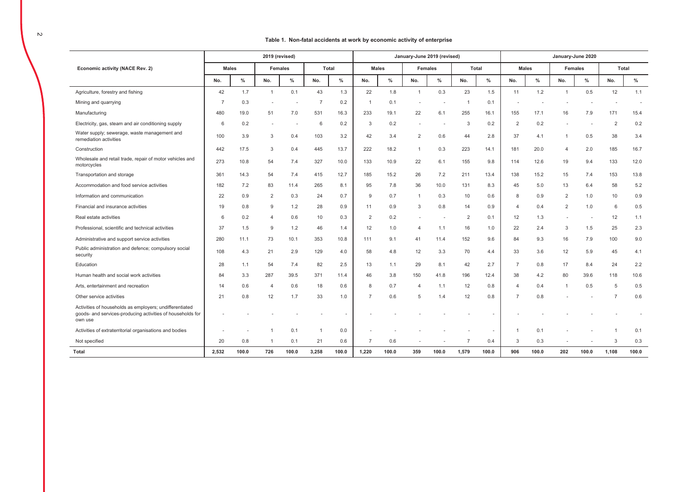### **Table 1. Non-fatal accidents at work by economic activity of enterprise**

|                                                                                                                                  |                |       | 2019 (revised) |                |                |              |                |              |                | January-June 2019 (revised) |       |              |                |              | January-June 2020        |       |                |       |
|----------------------------------------------------------------------------------------------------------------------------------|----------------|-------|----------------|----------------|----------------|--------------|----------------|--------------|----------------|-----------------------------|-------|--------------|----------------|--------------|--------------------------|-------|----------------|-------|
| Economic activity (NACE Rev. 2)                                                                                                  | <b>Males</b>   |       |                | <b>Females</b> |                | <b>Total</b> |                | <b>Males</b> |                | <b>Females</b>              |       | <b>Total</b> |                | <b>Males</b> | <b>Females</b>           |       | <b>Total</b>   |       |
|                                                                                                                                  | No.            | $\%$  | No.            | $\%$           | No.            | %            | No.            | $\%$         | No.            | $\%$                        | No.   | $\%$         | No.            | $\%$         | No.                      | $\%$  | No.            | $\%$  |
| Agriculture, forestry and fishing                                                                                                | 42             | 1.7   | $\overline{1}$ | 0.1            | 43             | 1.3          | 22             | 1.8          | $\overline{1}$ | 0.3                         | 23    | 1.5          | 11             | 1.2          |                          | 0.5   | 12             | 1.1   |
| Mining and quarrying                                                                                                             | $\overline{7}$ | 0.3   |                |                | $\overline{7}$ | 0.2          | $\overline{1}$ | 0.1          |                | ٠                           | -1    | 0.1          |                |              |                          |       |                |       |
| Manufacturing                                                                                                                    | 480            | 19.0  | 51             | 7.0            | 531            | 16.3         | 233            | 19.1         | 22             | 6.1                         | 255   | 16.1         | 155            | 17.1         | 16                       | 7.9   | 171            | 15.4  |
| Electricity, gas, steam and air conditioning supply                                                                              | 6              | 0.2   |                |                | 6              | 0.2          | 3              | 0.2          |                |                             | 3     | 0.2          | $\overline{2}$ | 0.2          |                          |       | $\overline{2}$ | 0.2   |
| Water supply; sewerage, waste management and<br>remediation activities                                                           | 100            | 3.9   | 3              | 0.4            | 103            | 3.2          | 42             | 3.4          | $\overline{2}$ | 0.6                         | 44    | 2.8          | 37             | 4.1          | $\mathbf{1}$             | 0.5   | 38             | 3.4   |
| Construction                                                                                                                     | 442            | 17.5  | 3              | 0.4            | 445            | 13.7         | 222            | 18.2         | $\mathbf{1}$   | 0.3                         | 223   | 14.1         | 181            | 20.0         | $\overline{4}$           | 2.0   | 185            | 16.7  |
| Wholesale and retail trade, repair of motor vehicles and<br>motorcycles                                                          | 273            | 10.8  | 54             | 7.4            | 327            | 10.0         | 133            | 10.9         | 22             | 6.1                         | 155   | 9.8          | 114            | 12.6         | 19                       | 9.4   | 133            | 12.0  |
| Transportation and storage                                                                                                       | 361            | 14.3  | 54             | 7.4            | 415            | 12.7         | 185            | 15.2         | 26             | 7.2                         | 211   | 13.4         | 138            | 15.2         | 15                       | 7.4   | 153            | 13.8  |
| Accommodation and food service activities                                                                                        | 182            | 7.2   | 83             | 11.4           | 265            | 8.1          | 95             | 7.8          | 36             | 10.0                        | 131   | 8.3          | 45             | 5.0          | 13                       | 6.4   | 58             | 5.2   |
| Information and communication                                                                                                    | 22             | 0.9   | $\overline{2}$ | 0.3            | 24             | 0.7          | 9              | 0.7          | $\mathbf{1}$   | 0.3                         | 10    | 0.6          | 8              | 0.9          | 2                        | 1.0   | 10             | 0.9   |
| Financial and insurance activities                                                                                               | 19             | 0.8   | 9              | 1.2            | 28             | 0.9          | 11             | 0.9          | 3              | 0.8                         | 14    | 0.9          | $\overline{4}$ | 0.4          | 2                        | 1.0   | 6              | 0.5   |
| Real estate activities                                                                                                           | 6              | 0.2   | 4              | 0.6            | 10             | 0.3          | $\overline{2}$ | 0.2          |                | ٠                           | 2     | 0.1          | 12             | 1.3          | $\overline{\phantom{a}}$ |       | 12             | 1.1   |
| Professional, scientific and technical activities                                                                                | 37             | 1.5   | 9              | 1.2            | 46             | 1.4          | 12             | 1.0          | $\overline{4}$ | 1.1                         | 16    | 1.0          | 22             | 2.4          | 3                        | 1.5   | 25             | 2.3   |
| Administrative and support service activities                                                                                    | 280            | 11.1  | 73             | 10.1           | 353            | 10.8         | 111            | 9.1          | 41             | 11.4                        | 152   | 9.6          | 84             | 9.3          | 16                       | 7.9   | 100            | 9.0   |
| Public administration and defence; compulsory social<br>security                                                                 | 108            | 4.3   | 21             | 2.9            | 129            | 4.0          | 58             | 4.8          | 12             | 3.3                         | 70    | 4.4          | 33             | 3.6          | 12                       | 5.9   | 45             | 4.1   |
| Education                                                                                                                        | 28             | 1.1   | 54             | 7.4            | 82             | 2.5          | 13             | 1.1          | 29             | 8.1                         | 42    | 2.7          | -7             | 0.8          | 17                       | 8.4   | 24             | 2.2   |
| Human health and social work activities                                                                                          | 84             | 3.3   | 287            | 39.5           | 371            | 11.4         | 46             | 3.8          | 150            | 41.8                        | 196   | 12.4         | 38             | 4.2          | 80                       | 39.6  | 118            | 10.6  |
| Arts, entertainment and recreation                                                                                               | 14             | 0.6   | 4              | 0.6            | 18             | 0.6          | 8              | 0.7          | 4              | 1.1                         | 12    | 0.8          | $\overline{4}$ | 0.4          |                          | 0.5   | 5              | 0.5   |
| Other service activities                                                                                                         | 21             | 0.8   | 12             | 1.7            | 33             | 1.0          | -7             | 0.6          | 5              | 1.4                         | 12    | 0.8          |                | 0.8          |                          |       | -7             | 0.6   |
| Activities of households as employers; undifferentiated<br>goods- and services-producing activities of households for<br>own use |                |       |                |                |                |              |                |              |                |                             |       |              |                |              |                          |       |                |       |
| Activities of extraterritorial organisations and bodies                                                                          |                |       |                | 0.1            | -1             | 0.0          |                |              |                |                             |       |              |                | 0.1          |                          |       |                | 0.1   |
| Not specified                                                                                                                    | 20             | 0.8   |                | 0.1            | 21             | 0.6          | $\overline{7}$ | 0.6          |                |                             |       | 0.4          | 3              | 0.3          |                          |       | 3              | 0.3   |
| Total                                                                                                                            | 2,532          | 100.0 | 726            | 100.0          | 3,258          | 100.0        | 1,220          | 100.0        | 359            | 100.0                       | 1,579 | 100.0        | 906            | 100.0        | 202                      | 100.0 | 1,108          | 100.0 |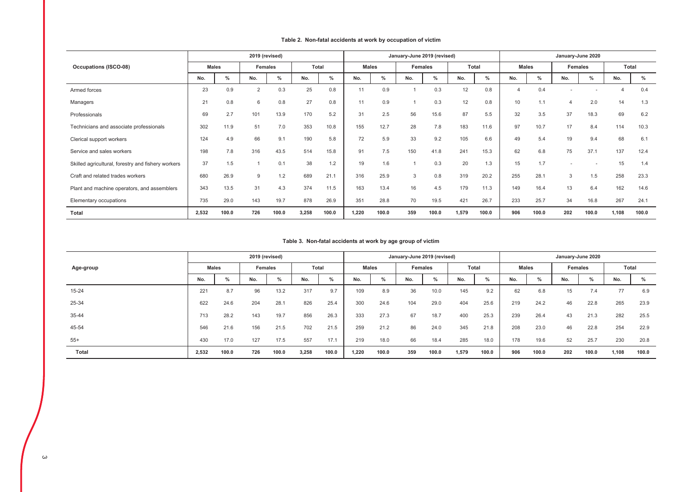|                                                    |              |       | 2019 (revised) |               |       |       |       |       | January-June 2019 (revised) |       |       |               |              |       | January-June 2020 |       |              |       |
|----------------------------------------------------|--------------|-------|----------------|---------------|-------|-------|-------|-------|-----------------------------|-------|-------|---------------|--------------|-------|-------------------|-------|--------------|-------|
| <b>Occupations (ISCO-08)</b>                       | <b>Males</b> |       | <b>Females</b> |               |       | Total | Males |       | <b>Females</b>              |       | Total |               | <b>Males</b> |       | <b>Females</b>    |       | <b>Total</b> |       |
|                                                    | No.          | $\%$  | No.            | $\frac{9}{6}$ | No.   | $\%$  | No.   | %     | No.                         | %     | No.   | $\frac{0}{0}$ | No.          | $\%$  | No.               | $\%$  | No.          | $\%$  |
| Armed forces                                       | 23           | 0.9   | 2              | 0.3           | 25    | 0.8   | 11    | 0.9   |                             | 0.3   | 12    | 0.8           |              | 0.4   |                   |       |              | 0.4   |
| Managers                                           | 21           | 0.8   | 6              | 0.8           | 27    | 0.8   | 11    | 0.9   |                             | 0.3   | 12    | 0.8           | 10           | 1.1   | $\overline{4}$    | 2.0   | 14           | 1.3   |
| Professionals                                      | 69           | 2.7   | 101            | 13.9          | 170   | 5.2   | 31    | 2.5   | 56                          | 15.6  | 87    | 5.5           | 32           | 3.5   | 37                | 18.3  | 69           | 6.2   |
| Technicians and associate professionals            | 302          | 11.9  | 51             | 7.0           | 353   | 10.8  | 155   | 12.7  | 28                          | 7.8   | 183   | 11.6          | 97           | 10.7  | 17                | 8.4   | 114          | 10.3  |
| Clerical support workers                           | 124          | 4.9   | 66             | 9.1           | 190   | 5.8   | 72    | 5.9   | 33                          | 9.2   | 105   | 6.6           | 49           | 5.4   | 19                | 9.4   | 68           | 6.1   |
| Service and sales workers                          | 198          | 7.8   | 316            | 43.5          | 514   | 15.8  | 91    | 7.5   | 150                         | 41.8  | 241   | 15.3          | 62           | 6.8   | 75                | 37.1  | 137          | 12.4  |
| Skilled agricultural, forestry and fishery workers | 37           | 1.5   |                | 0.1           | 38    | 1.2   | 19    | 1.6   |                             | 0.3   | 20    | 1.3           | 15           | 1.7   |                   |       | 15           | 1.4   |
| Craft and related trades workers                   | 680          | 26.9  | 9              | 1.2           | 689   | 21.1  | 316   | 25.9  | 3                           | 0.8   | 319   | 20.2          | 255          | 28.1  | 3                 | 1.5   | 258          | 23.3  |
| Plant and machine operators, and assemblers        | 343          | 13.5  | 31             | 4.3           | 374   | 11.5  | 163   | 13.4  | 16                          | 4.5   | 179   | 11.3          | 149          | 16.4  | 13                | 6.4   | 162          | 14.6  |
| Elementary occupations                             | 735          | 29.0  | 143            | 19.7          | 878   | 26.9  | 351   | 28.8  | 70                          | 19.5  | 421   | 26.7          | 233          | 25.7  | 34                | 16.8  | 267          | 24.1  |
| Total                                              | 2,532        | 100.0 | 726            | 100.0         | 3,258 | 100.0 | 1.220 | 100.0 | 359                         | 100.0 | 1,579 | 100.0         | 906          | 100.0 | 202               | 100.0 | 1,108        | 100.0 |

### **Table 2. Non-fatal accidents at work by occupation of victim**

## **Table 3. Non-fatal accidents at work by age group of victim**

|           |              |       | 2019 (revised) |                     |              |       |       |              | January-June 2019 (revised) |       |       |       |     |              | January-June 2020 |       |       |       |
|-----------|--------------|-------|----------------|---------------------|--------------|-------|-------|--------------|-----------------------------|-------|-------|-------|-----|--------------|-------------------|-------|-------|-------|
| Age-group | <b>Males</b> |       | Females        |                     | <b>Total</b> |       |       | <b>Males</b> | Females                     |       | Total |       |     | <b>Males</b> | <b>Females</b>    |       | Total |       |
|           | No.          | %     | No.            | $\mathbf{a}$<br>"∕o | No.          | $\%$  | No.   | $\%$         | No.                         | %     | No.   | $\%$  | No. | $\%$         | No.               | $\%$  | No.   | $\%$  |
| $15 - 24$ | 221          | 8.7   | 96             | 13.2                | 317          | 9.7   | 109   | 8.9          | 36                          | 10.0  | 145   | 9.2   | 62  | 6.8          | 15                | 7.4   | 77    | 6.9   |
| 25-34     | 622          | 24.6  | 204            | 28.1                | 826          | 25.4  | 300   | 24.6         | 104                         | 29.0  | 404   | 25.6  | 219 | 24.2         | 46                | 22.8  | 265   | 23.9  |
| 35-44     | 713          | 28.2  | 143            | 19.7                | 856          | 26.3  | 333   | 27.3         | 67                          | 18.7  | 400   | 25.3  | 239 | 26.4         | 43                | 21.3  | 282   | 25.5  |
| 45-54     | 546          | 21.6  | 156            | 21.5                | 702          | 21.5  | 259   | 21.2         | 86                          | 24.0  | 345   | 21.8  | 208 | 23.0         | 46                | 22.8  | 254   | 22.9  |
| $55+$     | 430          | 17.0  | 127            | 17.5                | 557          | 17.1  | 219   | 18.0         | 66                          | 18.4  | 285   | 18.0  | 178 | 19.6         | 52                | 25.7  | 230   | 20.8  |
| Total     | 2,532        | 100.0 | 726            | 100.0               | 3,258        | 100.0 | 1.220 | 100.0        | 359                         | 100.0 | 1,579 | 100.0 | 906 | 100.0        | 202               | 100.0 | 1,108 | 100.0 |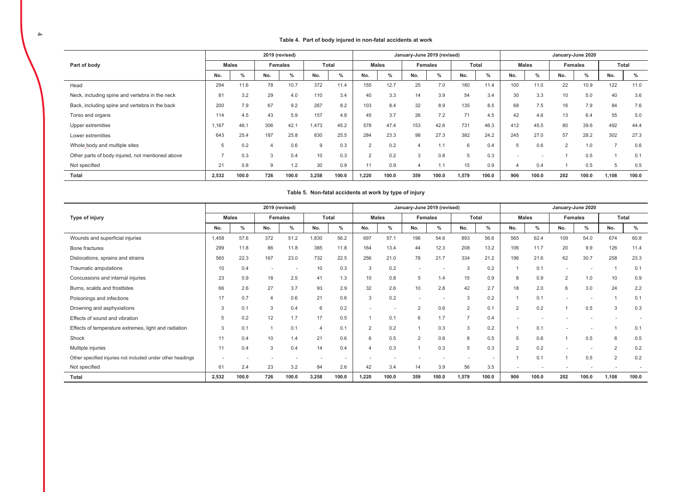### **Table 4. Part of body injured in non-fatal accidents at work**

|                                                  |       |              |     | 2019 (revised) |       |               |          |       | January-June 2019 (revised) |                |              |       |     |              |     | January-June 2020 |       |       |
|--------------------------------------------------|-------|--------------|-----|----------------|-------|---------------|----------|-------|-----------------------------|----------------|--------------|-------|-----|--------------|-----|-------------------|-------|-------|
| Part of body                                     |       | <b>Males</b> |     | Females        |       | <b>Total</b>  |          | Males |                             | <b>Females</b> | <b>Total</b> |       |     | <b>Males</b> |     | Females           | Total |       |
|                                                  | No.   | $\%$         | No. | %              | No.   | $\frac{0}{0}$ | No.      | $\%$  | No.                         | %              | No.          | %     | No. | $\%$         | No. | %                 | No.   | %     |
| Head                                             | 294   | 11.6         | 78  | 10.7           | 372   | 11.4          | 155      | 12.7  | 25                          | 7.0            | 180          | 11.4  | 100 | 11.0         | 22  | 10.9              | 122   | 11.0  |
| Neck, including spine and vertebra in the neck   | 81    | 3.2          | 29  | 4.0            | 110   | 3.4           | 40       | 3.3   | 14                          | 3.9            | 54           | 3.4   | 30  | 3.3          | 10  | 5.0               | 40    | 3.6   |
| Back, including spine and vertebra in the back   | 200   | 7.9          | 67  | 9.2            | 267   | 8.2           | 103      | 8.4   | 32                          | 8.9            | 135          | 8.5   | 68  | 7.5          | 16  | 7.9               | 84    | 7.6   |
| Torso and organs                                 | 114   | 4.5          | 43  | 5.9            | 157   | 4.8           | 45       | 3.7   | 26                          | 7.2            | 71           | 4.5   | 42  | 4.6          | 13  | 6.4               | 55    | 5.0   |
| Upper extremities                                | 1,167 | 46.1         | 306 | 42.7           | 1.473 | 45.2          | 578      | 47.4  | 153                         | 42.6           | 731          | 46.3  | 412 | 45.5         | 80  | 39.6              | 492   | 44.4  |
| Lower extremities                                | 643   | 25.4         | 187 | 25.8           | 830   | 25.5          | 284      | 23.3  | 98                          | 27.3           | 382          | 24.2  | 245 | 27.0         | 57  | 28.2              | 302   | 27.3  |
| Whole body and multiple sites                    |       | 0.2          | 4   | 0.6            | 9     | 0.3           | $\sim$   | 0.2   |                             | 1.1            | 6            | 0.4   |     | 0.6          | 2   | 1.0               | ⇁     | 0.6   |
| Other parts of body injured, not mentioned above |       | 0.3          | 3   | 0.4            | 10    | 0.3           | $\Omega$ | 0.2   | $\mathcal{R}$               | 0.8            | 5            | 0.3   |     |              |     | 0.5               |       | 0.1   |
| Not specified                                    | 21    | 0.8          | 9   | 1.2            | 30    | 0.9           | 11       | 0.9   |                             | 1.1            | 15           | 0.9   |     | 0.4          |     | 0.5               | 5     | 0.5   |
| <b>Total</b>                                     | 2,532 | 100.0        | 726 | 100.0          | 3,258 | 100.0         | 1,220    | 100.0 | 359                         | 100.0          | 1,579        | 100.0 | 906 | 100.0        | 202 | 100.0             | 1,108 | 100.0 |

| Table 5. Non-fatal accidents at work by type of injury |  |
|--------------------------------------------------------|--|
|--------------------------------------------------------|--|

|                                                            |       |              |                | 2019 (revised) |                          |                          |                |                          | January-June 2019 (revised) |               |                          |       |                |              |                          | January-June 2020        |                |                          |
|------------------------------------------------------------|-------|--------------|----------------|----------------|--------------------------|--------------------------|----------------|--------------------------|-----------------------------|---------------|--------------------------|-------|----------------|--------------|--------------------------|--------------------------|----------------|--------------------------|
| Type of injury                                             |       | <b>Males</b> |                | Females        |                          | <b>Total</b>             |                | <b>Males</b>             |                             | Females       | <b>Total</b>             |       |                | <b>Males</b> |                          | Females                  |                | Total                    |
|                                                            | No.   | $\%$         | No.            | %              | No.                      | $\%$                     | No.            | $\%$                     | No.                         | $\frac{9}{6}$ | No.                      | $\%$  | No.            | $\%$         | No.                      | $\%$                     | No.            | $\%$                     |
| Wounds and superficial injuries                            | 1,458 | 57.6         | 372            | 51.2           | 1,830                    | 56.2                     | 697            | 57.1                     | 196                         | 54.6          | 893                      | 56.6  | 565            | 62.4         | 109                      | 54.0                     | 674            | 60.8                     |
| Bone fractures                                             | 299   | 11.8         | 86             | 11.8           | 385                      | 11.8                     | 164            | 13.4                     | 44                          | 12.3          | 208                      | 13.2  | 106            | 11.7         | 20                       | 9.9                      | 126            | 11.4                     |
| Dislocations, sprains and strains                          | 565   | 22.3         | 167            | 23.0           | 732                      | 22.5                     | 256            | 21.0                     | 78                          | 21.7          | 334                      | 21.2  | 196            | 21.6         | 62                       | 30.7                     | 258            | 23.3                     |
| Traumatic amputations                                      | 10    | 0.4          |                | . .            | 10                       | 0.3                      | 3              | 0.2                      | ٠                           |               | 3                        | 0.2   |                | 0.1          |                          |                          |                | 0.1                      |
| Concussions and internal injuries                          | 23    | 0.9          | 18             | 2.5            | 41                       | 1.3                      | 10             | 0.8                      | 5                           | 1.4           | 15                       | 0.9   | 8              | 0.9          | 2                        | 1.0                      | 10             | 0.9                      |
| Burns, scalds and frostbites                               | 66    | 2.6          | 27             | 3.7            | 93                       | 2.9                      | 32             | 2.6                      | 10                          | 2.8           | 42                       | 2.7   | 18             | 2.0          | 6                        | 3.0                      | 24             | 2.2                      |
| Poisonings and infections                                  | 17    | 0.7          | $\overline{4}$ | 0.6            | 21                       | 0.6                      | 3              | 0.2                      |                             |               | 3                        | 0.2   |                | 0.1          | $\overline{\phantom{a}}$ | $\overline{\phantom{a}}$ |                | 0.1                      |
| Drowning and asphyxiations                                 | 3     | 0.1          | 3              | 0.4            | 6                        | 0.2                      | ٠              | $\overline{\phantom{a}}$ | $\overline{2}$              | 0.6           | $\overline{2}$           | 0.1   | $\overline{2}$ | 0.2          |                          | 0.5                      | 3              | 0.3                      |
| Effects of sound and vibration                             | 5     | 0.2          | 12             | 1.7            | 17                       | 0.5                      |                | 0.1                      | 6                           | 1.7           |                          | 0.4   |                |              |                          |                          |                | $\overline{\phantom{a}}$ |
| Effects of temperature extremes, light and radiation       | 3     | 0.1          |                | 0.1            | $\overline{\mathcal{A}}$ | 0.1                      | $\overline{2}$ | 0.2                      |                             | 0.3           | 3                        | 0.2   |                | 0.1          |                          |                          |                | 0.1                      |
| Shock                                                      | 11    | 0.4          | 10             | 1.4            | 21                       | 0.6                      | 6              | 0.5                      | $\overline{2}$              | 0.6           | 8                        | 0.5   | 5              | 0.6          |                          | 0.5                      | 6              | 0.5                      |
| Multiple injuries                                          | 11    | 0.4          | 3              | 0.4            | 14                       | 0.4                      | 4              | 0.3                      |                             | 0.3           | 5                        | 0.3   | $\overline{2}$ | 0.2          |                          |                          | $\overline{2}$ | 0.2                      |
| Other specified injuries not included under other headings |       |              |                |                | ٠                        | $\overline{\phantom{a}}$ | ٠              |                          |                             |               | $\overline{\phantom{a}}$ |       |                | 0.1          |                          | 0.5                      | $\overline{2}$ | 0.2                      |
| Not specified                                              | 61    | 2.4          | 23             | 3.2            | 84                       | 2.6                      | 42             | 3.4                      | 14                          | 3.9           | 56                       | 3.5   |                |              |                          |                          |                | $\overline{\phantom{a}}$ |
| Total                                                      | 2,532 | 100.0        | 726            | 100.0          | 3,258                    | 100.0                    | 1,220          | 100.0                    | 359                         | 100.0         | 1,579                    | 100.0 | 906            | 100.0        | 202                      | 100.0                    | 1,108          | 100.0                    |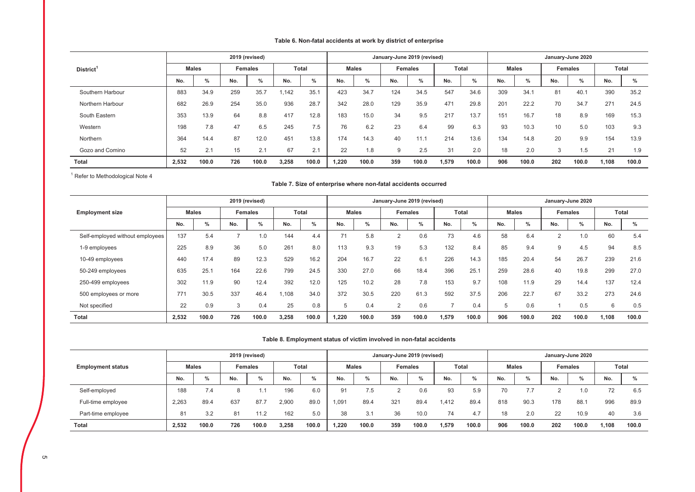## **Table 6. Non-fatal accidents at work by district of enterprise**

|                       |       |              |     | 2019 (revised) |       |               |       |              | January-June 2019 (revised) |                |       |       |     |              |     | January-June 2020 |       |       |
|-----------------------|-------|--------------|-----|----------------|-------|---------------|-------|--------------|-----------------------------|----------------|-------|-------|-----|--------------|-----|-------------------|-------|-------|
| District <sup>1</sup> |       | <b>Males</b> |     | <b>Females</b> |       | <b>Total</b>  |       | <b>Males</b> |                             | <b>Females</b> |       | Total |     | <b>Males</b> |     | <b>Females</b>    |       | Total |
|                       | No.   | %            | No. | %              | No.   | $\frac{0}{0}$ | No.   | $\%$         | No.                         | %              | No.   | %     | No. | %            | No. | $\%$              | No.   | %     |
| Southern Harbour      | 883   | 34.9         | 259 | 35.7           | 1,142 | 35.1          | 423   | 34.7         | 124                         | 34.5           | 547   | 34.6  | 309 | 34.7         | 81  | 40.1              | 390   | 35.2  |
| Northern Harbour      | 682   | 26.9         | 254 | 35.0           | 936   | 28.7          | 342   | 28.0         | 129                         | 35.9           | 471   | 29.8  | 201 | 22.2         | 70  | 34.7              | 271   | 24.5  |
| South Eastern         | 353   | 13.9         | 64  | 8.8            | 417   | 12.8          | 183   | 15.0         | 34                          | 9.5            | 217   | 13.7  | 151 | 16.7         | 18  | 8.9               | 169   | 15.3  |
| Western               | 198   | 7.8          | 47  | 6.5            | 245   | 7.5           | 76    | 6.2          | 23                          | 6.4            | 99    | 6.3   | 93  | 10.3         | 10  | 5.0               | 103   | 9.3   |
| Northern              | 364   | 14.4         | 87  | 12.0           | 451   | 13.8          | 174   | 14.3         | 40                          | 11.1           | 214   | 13.6  | 134 | 14.8         | 20  | 9.9               | 154   | 13.9  |
| Gozo and Comino       | 52    | 2.1          | 15  | 2.1            | 67    | 2.1           | 22    | 1.8          | 9                           | 2.5            | 31    | 2.0   | 18  | 2.0          | 3   | 1.5               | 21    | 1.9   |
| Total                 | 2,532 | 100.0        | 726 | 100.0          | 3,258 | 100.0         | 1.220 | 100.0        | 359                         | 100.0          | 1,579 | 100.0 | 906 | 100.0        | 202 | 100.0             | 1,108 | 100.0 |

 $1$  Refer to Methodological Note 4

### **Table 7. Size of enterprise where non-fatal accidents occurred**

|                                 |       |              |     | 2019 (revised) |       |       |       |              |     | January-June 2019 (revised) |       |               |     |              |                |                   |       |               |
|---------------------------------|-------|--------------|-----|----------------|-------|-------|-------|--------------|-----|-----------------------------|-------|---------------|-----|--------------|----------------|-------------------|-------|---------------|
|                                 |       |              |     |                |       |       |       |              |     |                             |       |               |     |              |                | January-June 2020 |       |               |
| <b>Employment size</b>          |       | <b>Males</b> |     | <b>Females</b> |       | Total |       | <b>Males</b> |     | <b>Females</b>              |       | <b>Total</b>  |     | <b>Males</b> |                | <b>Females</b>    |       | Total         |
|                                 | No.   | $\%$         | No. | %              | No.   | $\%$  | No.   | %            | No. | %                           | No.   | $\frac{0}{0}$ | No. | $\%$         | No.            | %                 | No.   | $\frac{0}{0}$ |
| Self-employed without employees | 137   | 5.4          |     | 1.0            | 144   | 4.4   | 71    | 5.8          | 2   | 0.6                         | 73    | 4.6           | 58  | 6.4          | $\overline{2}$ | 1.0               | 60    | 5.4           |
| 1-9 employees                   | 225   | 8.9          | 36  | 5.0            | 261   | 8.0   | 113   | 9.3          | 19  | 5.3                         | 132   | 8.4           | 85  | 9.4          | 9              | 4.5               | 94    | 8.5           |
| 10-49 employees                 | 440   | 17.4         | 89  | 12.3           | 529   | 16.2  | 204   | 16.7         | 22  | 6.1                         | 226   | 14.3          | 185 | 20.4         | 54             | 26.7              | 239   | 21.6          |
| 50-249 employees                | 635   | 25.1         | 164 | 22.6           | 799   | 24.5  | 330   | 27.0         | 66  | 18.4                        | 396   | 25.1          | 259 | 28.6         | 40             | 19.8              | 299   | 27.0          |
| 250-499 employees               | 302   | 11.9         | 90  | 12.4           | 392   | 12.0  | 125   | 10.2         | 28  | 7.8                         | 153   | 9.7           | 108 | 11.9         | 29             | 14.4              | 137   | 12.4          |
| 500 employees or more           | 771   | 30.5         | 337 | 46.4           | .108  | 34.0  | 372   | 30.5         | 220 | 61.3                        | 592   | 37.5          | 206 | 22.7         | 67             | 33.2              | 273   | 24.6          |
| Not specified                   | 22    | 0.9          | 3   | 0.4            | 25    | 0.8   | 5     | 0.4          | 2   | 0.6                         | ⇁     | 0.4           | 5   | 0.6          |                | 0.5               | 6     | 0.5           |
| <b>Total</b>                    | 2,532 | 100.0        | 726 | 100.0          | 3,258 | 100.0 | 1,220 | 100.0        | 359 | 100.0                       | 1,579 | 100.0         | 906 | 100.0        | 202            | 100.0             | 1,108 | 100.0         |

### **Table 8. Employment status of victim involved in non-fatal accidents**

|                          |       |              |     | 2019 (revised) |       |              |       |               |     | January-June 2019 (revised) |       |       |     |              |     | January-June 2020 |       |              |
|--------------------------|-------|--------------|-----|----------------|-------|--------------|-------|---------------|-----|-----------------------------|-------|-------|-----|--------------|-----|-------------------|-------|--------------|
| <b>Employment status</b> |       | <b>Males</b> |     | Females        |       | <b>Total</b> |       | <b>Males</b>  |     | <b>Females</b>              |       | Total |     | <b>Males</b> |     | Females           |       | <b>Total</b> |
|                          | No.   | $\%$         | No. | %              | No.   | $\%$         | No.   | $\frac{0}{0}$ | No. | $\%$                        | No.   | %     | No. | $\%$         | No. | %                 | No.   | $\%$         |
| Self-employed            | 188   | 7.4          |     |                | 196   | 6.0          | 91    | 7.5           |     | 0.6                         | 93    | 5.9   | 70  |              |     | 1.0               | 72    | 6.5          |
| Full-time employee       | 2.263 | 89.4         | 637 | 87.7           | 2.900 | 89.0         | 1.091 | 89.4          | 321 | 89.4                        | 1.412 | 89.4  | 818 | 90.3         | 178 | 88.1              | 996   | 89.9         |
| Part-time employee       | 81    | 3.2          | 81  | 11.2           | 162   | 5.0          | 38    | 3.1           | 36  | 10.0                        | 74    | 4.7   | 18  | 2.0          | 22  | 10.9              | 40    | 3.6          |
| <b>Total</b>             | 2.532 | 100.0        | 726 | 100.0          | 3.258 | 100.0        | 1.220 | 100.0         | 359 | 100.0                       | 1.579 | 100.0 | 906 | 100.0        | 202 | 100.0             | 1.108 | 100.0        |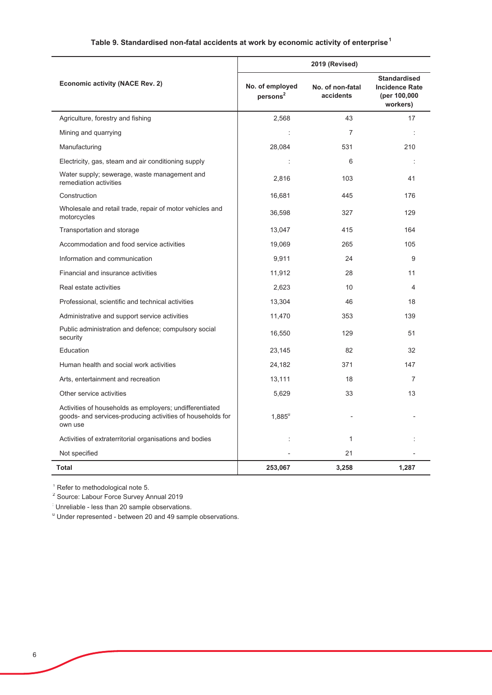## **Table 9. Standardised non-fatal accidents at work by economic activity of enterprise<sup>1</sup>**

|                                                                                                                                  |                                         | 2019 (Revised)                |                                                                          |
|----------------------------------------------------------------------------------------------------------------------------------|-----------------------------------------|-------------------------------|--------------------------------------------------------------------------|
| Economic activity (NACE Rev. 2)                                                                                                  | No. of employed<br>persons <sup>2</sup> | No. of non-fatal<br>accidents | <b>Standardised</b><br><b>Incidence Rate</b><br>(per 100,000<br>workers) |
| Agriculture, forestry and fishing                                                                                                | 2.568                                   | 43                            | 17                                                                       |
| Mining and quarrying                                                                                                             | ÷                                       | $\overline{7}$                |                                                                          |
| Manufacturing                                                                                                                    | 28,084                                  | 531                           | 210                                                                      |
| Electricity, gas, steam and air conditioning supply                                                                              | $\ddot{\phantom{a}}$                    | 6                             |                                                                          |
| Water supply; sewerage, waste management and<br>remediation activities                                                           | 2.816                                   | 103                           | 41                                                                       |
| Construction                                                                                                                     | 16,681                                  | 445                           | 176                                                                      |
| Wholesale and retail trade, repair of motor vehicles and<br>motorcycles                                                          | 36,598                                  | 327                           | 129                                                                      |
| Transportation and storage                                                                                                       | 13,047                                  | 415                           | 164                                                                      |
| Accommodation and food service activities                                                                                        | 19,069                                  | 265                           | 105                                                                      |
| Information and communication                                                                                                    | 9,911                                   | 24                            | 9                                                                        |
| Financial and insurance activities                                                                                               | 11,912                                  | 28                            | 11                                                                       |
| Real estate activities                                                                                                           | 2,623                                   | 10 <sup>1</sup>               | 4                                                                        |
| Professional, scientific and technical activities                                                                                | 13,304                                  | 46                            | 18                                                                       |
| Administrative and support service activities                                                                                    | 11,470                                  | 353                           | 139                                                                      |
| Public administration and defence; compulsory social<br>security                                                                 | 16,550                                  | 129                           | 51                                                                       |
| Education                                                                                                                        | 23,145                                  | 82                            | 32                                                                       |
| Human health and social work activities                                                                                          | 24,182                                  | 371                           | 147                                                                      |
| Arts, entertainment and recreation                                                                                               | 13,111                                  | 18                            | $\overline{7}$                                                           |
| Other service activities                                                                                                         | 5,629                                   | 33                            | 13                                                                       |
| Activities of households as employers; undifferentiated<br>goods- and services-producing activities of households for<br>own use | $1,885^u$                               |                               |                                                                          |
| Activities of extraterritorial organisations and bodies                                                                          | $\ddot{\phantom{0}}$                    | $\mathbf{1}$                  |                                                                          |
| Not specified                                                                                                                    |                                         | 21                            |                                                                          |
| Total                                                                                                                            | 253,067                                 | 3,258                         | 1,287                                                                    |

<sup>1</sup> Refer to methodological note 5.

<sup>2</sup> Source: Labour Force Survey Annual 2019

: Unreliable - less than 20 sample observations.

<sup>u</sup> Under represented - between 20 and 49 sample observations.